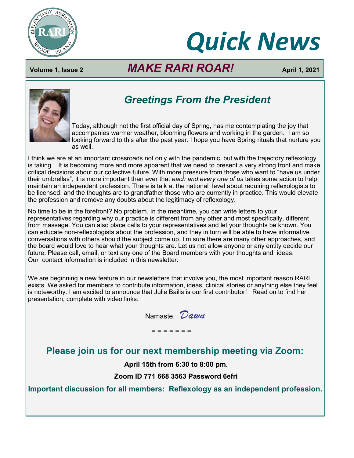

# *Quick News*

# **Volume 1, Issue 2** *MAKE RARI ROAR!* **April 1, 2021**



# *Greetings From the President*

Today, although not the first official day of Spring, has me contemplating the joy that accompanies warmer weather, blooming flowers and working in the garden. I am so looking forward to this after the past year. I hope you have Spring rituals that nurture you as well.

I think we are at an important crossroads not only with the pandemic, but with the trajectory reflexology is taking. It is becoming more and more apparent that we need to present a very strong front and make critical decisions about our collective future. With more pressure from those who want to "have us under their umbrellas", it is more important than ever that *each and every one of us* takes some action to help maintain an independent profession. There is talk at the national level about requiring reflexologists to be licensed, and the thoughts are to grandfather those who are currently in practice. This would elevate the profession and remove any doubts about the legitimacy of reflexology.

No time to be in the forefront? No problem. In the meantime, you can write letters to your representatives regarding why our practice is different from any other and most specifically, different from massage. You can also place calls to your representatives and let your thoughts be known. You can educate non-reflexologists about the profession, and they in turn will be able to have informative conversations with others should the subject come up. I'm sure there are many other approaches, and the board would love to hear what your thoughts are. Let us not allow anyone or any entity decide our future. Please call, email, or text any one of the Board members with your thoughts and ideas. Our contact information is included in this newsletter.

We are beginning a new feature in our newsletters that involve you, the most important reason RARI exists. We asked for members to contribute information, ideas, clinical stories or anything else they feel is noteworthy. I am excited to announce that Julie Bailis is our first contributor! Read on to find her presentation, complete with video links.

| Namaste, Dawn |  |
|---------------|--|
|               |  |

#### = = = = = = =

## **Please join us for our next membership meeting via Zoom:**

**April 15th from 6:30 to 8:00 pm.** 

**Zoom ID 771 668 3563 Password 6efri**

**Important discussion for all members: Reflexology as an independent profession.**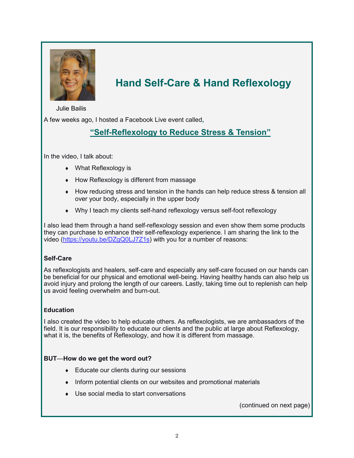

# **Hand Self-Care & Hand Reflexology**

Julie Bailis

A few weeks ago, I hosted a Facebook Live event called**,** 

## **"Self-[Reflexology to Reduce Stress & Tension](https://youtu.be/DZgQ0LJ7Z1s)"**

In the video, I talk about:

- What Reflexology is
- $\bullet$  How Reflexology is different from massage
- How reducing stress and tension in the hands can help reduce stress & tension all over your body, especially in the upper body
- Why I teach my clients self-hand reflexology versus self-foot reflexology

I also lead them through a hand self-reflexology session and even show them some products they can purchase to enhance their self-reflexology experience. I am sharing the link to the video ([https://youtu.be/DZgQ0LJ7Z1s\)](https://youtu.be/DZgQ0LJ7Z1s) with you for a number of reasons:

#### **Self-Care**

As reflexologists and healers, self-care and especially any self-care focused on our hands can be beneficial for our physical and emotional well-being. Having healthy hands can also help us avoid injury and prolong the length of our careers. Lastly, taking time out to replenish can help us avoid feeling overwhelm and burn-out.

#### **Education**

I also created the video to help educate others. As reflexologists, we are ambassadors of the field. It is our responsibility to educate our clients and the public at large about Reflexology, what it is, the benefits of Reflexology, and how it is different from massage.

#### **BUT**—**How do we get the word out?**

- ◆ Educate our clients during our sessions
- Inform potential clients on our websites and promotional materials
- Use social media to start conversations

(continued on next page)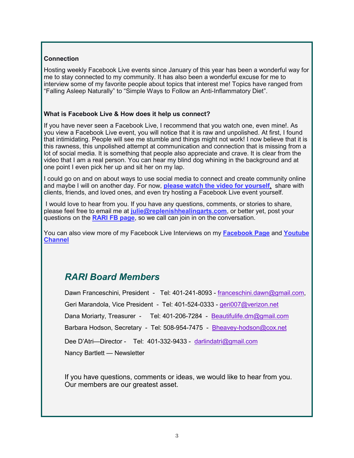#### **Connection**

Hosting weekly Facebook Live events since January of this year has been a wonderful way for me to stay connected to my community. It has also been a wonderful excuse for me to interview some of my favorite people about topics that interest me! Topics have ranged from "Falling Asleep Naturally" to "Simple Ways to Follow an Anti-Inflammatory Diet".

#### **What is Facebook Live & How does it help us connect?**

If you have never seen a Facebook Live, I recommend that you watch one, even mine!. As you view a Facebook Live event, you will notice that it is raw and unpolished. At first, I found that intimidating. People will see me stumble and things might not work! I now believe that it is this rawness, this unpolished attempt at communication and connection that is missing from a lot of social media. It is something that people also appreciate and crave. It is clear from the video that I am a real person. You can hear my blind dog whining in the background and at one point I even pick her up and sit her on my lap.

I could go on and on about ways to use social media to connect and create community online and maybe I will on another day. For now, **[please watch the video for yourself](https://www.youtube.com/watch?v=DZgQ0LJ7Z1s&feature=youtu.be)**, share with clients, friends, and loved ones, and even try hosting a Facebook Live event yourself.

I would love to hear from you. If you have any questions, comments, or stories to share, please feel free to email me at **[julie@replenishhealingarts.com](mailto:Julie@replenishhealingarts.com)**, or better yet, post your questions on the **[RARI FB page](https://www.facebook.com/Reflexology-Association-of-Rhode-Island-992563614246333)**, so we call can join in on the conversation.

You can also view more of my Facebook Live Interviews on my **[Facebook Page](https://www.facebook.com/Mountain-View-Wellness-1137695046368851)** and **[Youtube](https://www.youtube.com/channel/UCndkHOkOIU-kKDYC6hw2VkQ)  [Channel](https://www.youtube.com/channel/UCndkHOkOIU-kKDYC6hw2VkQ)**

## *RARI Board Members*

Dawn Franceschini, President - Tel: 401-241-8093 - [franceschini.dawn@gmail.com,](mailto:franceschini.dawn@gmail.com) Geri Marandola, Vice President - Tel: 401-524-0333 - [geri007@verizon.net](mailto:geri007@verizon.net)  Dana Moriarty, Treasurer - Tel: 401-206-7284 - Beautifulife.dm@gmail.com Barbara Hodson, Secretary - Tel: 508-954-7475 - Bheavey-hodson@cox.net Dee D'Atri--Director - Tel: 401-332-9433 - darlindatri@gmail.com Nancy Bartlett — Newsletter

If you have questions, comments or ideas, we would like to hear from you. Our members are our greatest asset.